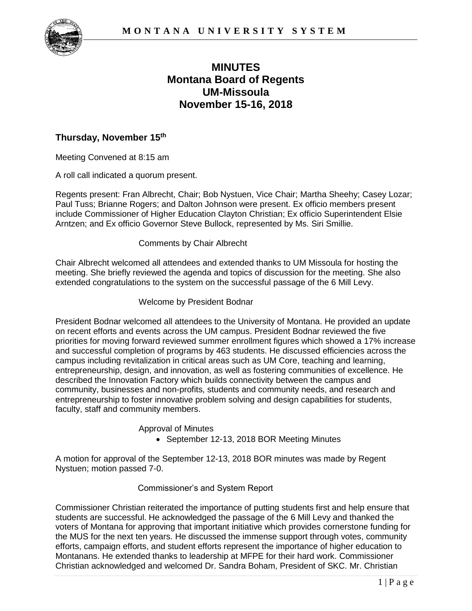

# **Montana Board of Regents MINUTES UM-Missoula November 15-16, 2018**

#### **Thursday, November 15th**

Meeting Convened at 8:15 am

A roll call indicated a quorum present.

 Regents present: Fran Albrecht, Chair; Bob Nystuen, Vice Chair; Martha Sheehy; Casey Lozar; Paul Tuss; Brianne Rogers; and Dalton Johnson were present. Ex officio members present include Commissioner of Higher Education Clayton Christian; Ex officio Superintendent Elsie Arntzen; and Ex officio Governor Steve Bullock, represented by Ms. Siri Smillie.

#### Comments by Chair Albrecht

 Chair Albrecht welcomed all attendees and extended thanks to UM Missoula for hosting the meeting. She briefly reviewed the agenda and topics of discussion for the meeting. She also extended congratulations to the system on the successful passage of the 6 Mill Levy.

#### Welcome by President Bodnar

 President Bodnar welcomed all attendees to the University of Montana. He provided an update on recent efforts and events across the UM campus. President Bodnar reviewed the five priorities for moving forward reviewed summer enrollment figures which showed a 17% increase and successful completion of programs by 463 students. He discussed efficiencies across the campus including revitalization in critical areas such as UM Core, teaching and learning, entrepreneurship, design, and innovation, as well as fostering communities of excellence. He community, businesses and non-profits, students and community needs, and research and entrepreneurship to foster innovative problem solving and design capabilities for students, faculty, staff and community members. described the Innovation Factory which builds connectivity between the campus and

Approval of Minutes

• September 12-13, 2018 BOR Meeting Minutes

 A motion for approval of the September 12-13, 2018 BOR minutes was made by Regent Nystuen; motion passed 7-0.

#### Commissioner's and System Report

 Commissioner Christian reiterated the importance of putting students first and help ensure that students are successful. He acknowledged the passage of the 6 Mill Levy and thanked the voters of Montana for approving that important initiative which provides cornerstone funding for the MUS for the next ten years. He discussed the immense support through votes, community efforts, campaign efforts, and student efforts represent the importance of higher education to Montanans. He extended thanks to leadership at MFPE for their hard work. Commissioner Christian acknowledged and welcomed Dr. Sandra Boham, President of SKC. Mr. Christian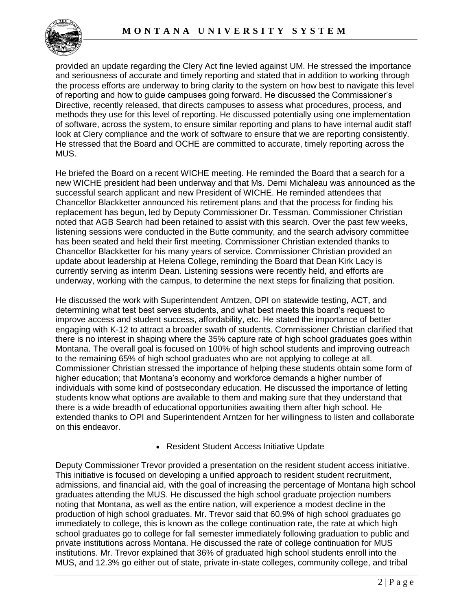

 provided an update regarding the Clery Act fine levied against UM. He stressed the importance and seriousness of accurate and timely reporting and stated that in addition to working through the process efforts are underway to bring clarity to the system on how best to navigate this level of reporting and how to guide campuses going forward. He discussed the Commissioner's Directive, recently released, that directs campuses to assess what procedures, process, and methods they use for this level of reporting. He discussed potentially using one implementation of software, across the system, to ensure similar reporting and plans to have internal audit staff look at Clery compliance and the work of software to ensure that we are reporting consistently. He stressed that the Board and OCHE are committed to accurate, timely reporting across the MUS.

 He briefed the Board on a recent WICHE meeting. He reminded the Board that a search for a new WICHE president had been underway and that Ms. Demi Michaleau was announced as the successful search applicant and new President of WICHE. He reminded attendees that Chancellor Blackketter announced his retirement plans and that the process for finding his replacement has begun, led by Deputy Commissioner Dr. Tessman. Commissioner Christian noted that AGB Search had been retained to assist with this search. Over the past few weeks, listening sessions were conducted in the Butte community, and the search advisory committee has been seated and held their first meeting. Commissioner Christian extended thanks to Chancellor Blackketter for his many years of service. Commissioner Christian provided an update about leadership at Helena College, reminding the Board that Dean Kirk Lacy is currently serving as interim Dean. Listening sessions were recently held, and efforts are underway, working with the campus, to determine the next steps for finalizing that position.

 He discussed the work with Superintendent Arntzen, OPI on statewide testing, ACT, and determining what test best serves students, and what best meets this board's request to improve access and student success, affordability, etc. He stated the importance of better engaging with K-12 to attract a broader swath of students. Commissioner Christian clarified that there is no interest in shaping where the 35% capture rate of high school graduates goes within Montana. The overall goal is focused on 100% of high school students and improving outreach to the remaining 65% of high school graduates who are not applying to college at all. Commissioner Christian stressed the importance of helping these students obtain some form of higher education; that Montana's economy and workforce demands a higher number of individuals with some kind of postsecondary education. He discussed the importance of letting students know what options are available to them and making sure that they understand that there is a wide breadth of educational opportunities awaiting them after high school. He extended thanks to OPI and Superintendent Arntzen for her willingness to listen and collaborate on this endeavor.

#### • Resident Student Access Initiative Update

 Deputy Commissioner Trevor provided a presentation on the resident student access initiative. This initiative is focused on developing a unified approach to resident student recruitment, admissions, and financial aid, with the goal of increasing the percentage of Montana high school graduates attending the MUS. He discussed the high school graduate projection numbers noting that Montana, as well as the entire nation, will experience a modest decline in the production of high school graduates. Mr. Trevor said that 60.9% of high school graduates go immediately to college, this is known as the college continuation rate, the rate at which high school graduates go to college for fall semester immediately following graduation to public and private institutions across Montana. He discussed the rate of college continuation for MUS institutions. Mr. Trevor explained that 36% of graduated high school students enroll into the MUS, and 12.3% go either out of state, private in-state colleges, community college, and tribal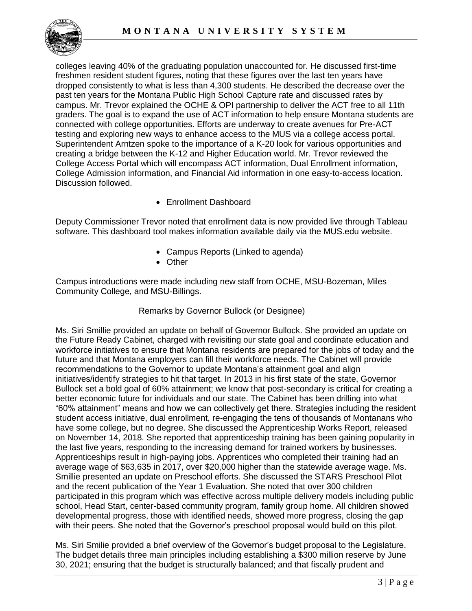

 colleges leaving 40% of the graduating population unaccounted for. He discussed first-time freshmen resident student figures, noting that these figures over the last ten years have dropped consistently to what is less than 4,300 students. He described the decrease over the past ten years for the Montana Public High School Capture rate and discussed rates by campus. Mr. Trevor explained the OCHE & OPI partnership to deliver the ACT free to all 11th graders. The goal is to expand the use of ACT information to help ensure Montana students are connected with college opportunities. Efforts are underway to create avenues for Pre-ACT testing and exploring new ways to enhance access to the MUS via a college access portal. Superintendent Arntzen spoke to the importance of a K-20 look for various opportunities and creating a bridge between the K-12 and Higher Education world. Mr. Trevor reviewed the College Access Portal which will encompass ACT information, Dual Enrollment information, College Admission information, and Financial Aid information in one easy-to-access location. Discussion followed.

• Enrollment Dashboard

 Deputy Commissioner Trevor noted that enrollment data is now provided live through Tableau software. This dashboard tool makes information available daily via the MUS.edu website.

- Campus Reports (Linked to agenda)
- Other

 Campus introductions were made including new staff from OCHE, MSU-Bozeman, Miles Community College, and MSU-Billings.

#### Remarks by Governor Bullock (or Designee)

 Ms. Siri Smillie provided an update on behalf of Governor Bullock. She provided an update on the Future Ready Cabinet, charged with revisiting our state goal and coordinate education and workforce initiatives to ensure that Montana residents are prepared for the jobs of today and the future and that Montana employers can fill their workforce needs. The Cabinet will provide recommendations to the Governor to update Montana's attainment goal and align initiatives/identify strategies to hit that target. In 2013 in his first state of the state, Governor Bullock set a bold goal of 60% attainment; we know that post-secondary is critical for creating a better economic future for individuals and our state. The Cabinet has been drilling into what "60% attainment" means and how we can collectively get there. Strategies including the resident student access initiative, dual enrollment, re-engaging the tens of thousands of Montanans who have some college, but no degree. She discussed the Apprenticeship Works Report, released on November 14, 2018. She reported that apprenticeship training has been gaining popularity in the last five years, responding to the increasing demand for trained workers by businesses. Apprenticeships result in high-paying jobs. Apprentices who completed their training had an average wage of \$63,635 in 2017, over \$20,000 higher than the statewide average wage. Ms. Smillie presented an update on Preschool efforts. She discussed the STARS Preschool Pilot and the recent publication of the Year 1 Evaluation. She noted that over 300 children participated in this program which was effective across multiple delivery models including public school, Head Start, center-based community program, family group home. All children showed developmental progress, those with identified needs, showed more progress, closing the gap with their peers. She noted that the Governor's preschool proposal would build on this pilot.

 Ms. Siri Smilie provided a brief overview of the Governor's budget proposal to the Legislature. The budget details three main principles including establishing a \$300 million reserve by June 30, 2021; ensuring that the budget is structurally balanced; and that fiscally prudent and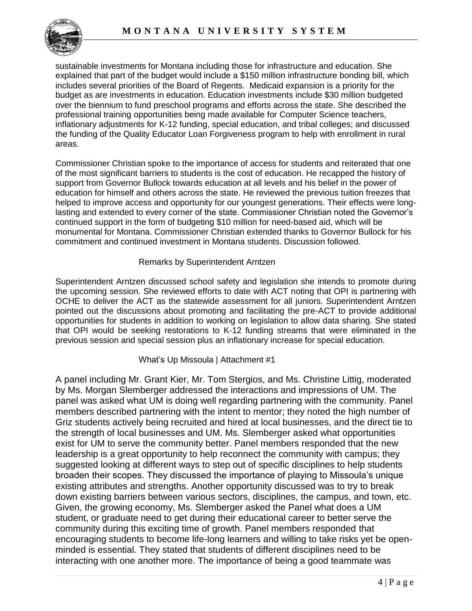

 sustainable investments for Montana including those for infrastructure and education. She explained that part of the budget would include a \$150 million infrastructure bonding bill, which includes several priorities of the Board of Regents. Medicaid expansion is a priority for the budget as are investments in education. Education investments include \$30 million budgeted over the biennium to fund preschool programs and efforts across the state. She described the professional training opportunities being made available for Computer Science teachers, inflationary adjustments for K-12 funding, special education, and tribal colleges; and discussed the funding of the Quality Educator Loan Forgiveness program to help with enrollment in rural areas.

 Commissioner Christian spoke to the importance of access for students and reiterated that one of the most significant barriers to students is the cost of education. He recapped the history of support from Governor Bullock towards education at all levels and his belief in the power of education for himself and others across the state. He reviewed the previous tuition freezes that helped to improve access and opportunity for our youngest generations. Their effects were long- lasting and extended to every corner of the state. Commissioner Christian noted the Governor's continued support in the form of budgeting \$10 million for need-based aid, which will be monumental for Montana. Commissioner Christian extended thanks to Governor Bullock for his commitment and continued investment in Montana students. Discussion followed.

#### Remarks by Superintendent Arntzen

 Superintendent Arntzen discussed school safety and legislation she intends to promote during the upcoming session. She reviewed efforts to date with ACT noting that OPI is partnering with OCHE to deliver the ACT as the statewide assessment for all juniors. Superintendent Arntzen pointed out the discussions about promoting and facilitating the pre-ACT to provide additional opportunities for students in addition to working on legislation to allow data sharing. She stated that OPI would be seeking restorations to K-12 funding streams that were eliminated in the previous session and special session plus an inflationary increase for special education.

#### What's Up Missoula | Attachment #1

 exist for UM to serve the community better. Panel members responded that the new interacting with one another more. The importance of being a good teammate was A panel including Mr. Grant Kier, Mr. Tom Stergios, and Ms. Christine Littig, moderated by Ms. Morgan Slemberger addressed the interactions and impressions of UM. The panel was asked what UM is doing well regarding partnering with the community. Panel members described partnering with the intent to mentor; they noted the high number of Griz students actively being recruited and hired at local businesses, and the direct tie to the strength of local businesses and UM. Ms. Slemberger asked what opportunities leadership is a great opportunity to help reconnect the community with campus; they suggested looking at different ways to step out of specific disciplines to help students broaden their scopes. They discussed the importance of playing to Missoula's unique existing attributes and strengths. Another opportunity discussed was to try to break down existing barriers between various sectors, disciplines, the campus, and town, etc. Given, the growing economy, Ms. Slemberger asked the Panel what does a UM student, or graduate need to get during their educational career to better serve the community during this exciting time of growth. Panel members responded that encouraging students to become life-long learners and willing to take risks yet be openminded is essential. They stated that students of different disciplines need to be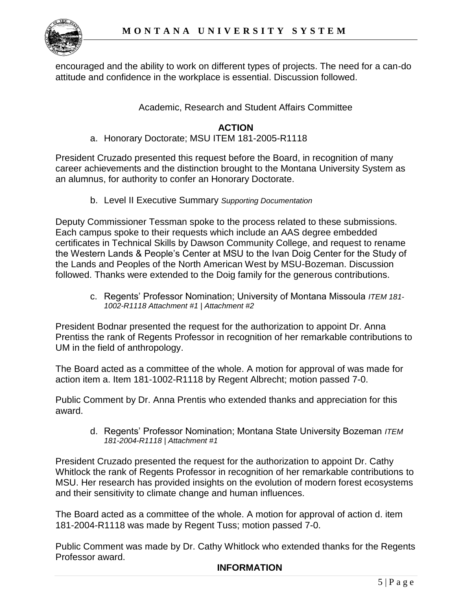

 encouraged and the ability to work on different types of projects. The need for a can-do attitude and confidence in the workplace is essential. Discussion followed.

### Academic, Research and Student Affairs Committee

### **ACTION**

a. Honorary Doctorate; MSU ITEM 181-2005-R1118

 President Cruzado presented this request before the Board, in recognition of many career achievements and the distinction brought to the Montana University System as an alumnus, for authority to confer an Honorary Doctorate.

b. Level II Executive Summary *Supporting Documentation* 

 Deputy Commissioner Tessman spoke to the process related to these submissions. Each campus spoke to their requests which include an AAS degree embedded the Lands and Peoples of the North American West by MSU-Bozeman. Discussion certificates in Technical Skills by Dawson Community College, and request to rename the Western Lands & People's Center at MSU to the Ivan Doig Center for the Study of followed. Thanks were extended to the Doig family for the generous contributions.

c. Regents' Professor Nomination; University of Montana Missoula *ITEM 181- 1002-R1118 Attachment #1 | Attachment #2* 

President Bodnar presented the request for the authorization to appoint Dr. Anna Prentiss the rank of Regents Professor in recognition of her remarkable contributions to UM in the field of anthropology.

 The Board acted as a committee of the whole. A motion for approval of was made for action item a. Item 181-1002-R1118 by Regent Albrecht; motion passed 7-0.

Public Comment by Dr. Anna Prentis who extended thanks and appreciation for this award.

d. Regents' Professor Nomination; Montana State University Bozeman *ITEM 181-2004-R1118 | Attachment #1* 

President Cruzado presented the request for the authorization to appoint Dr. Cathy Whitlock the rank of Regents Professor in recognition of her remarkable contributions to MSU. Her research has provided insights on the evolution of modern forest ecosystems and their sensitivity to climate change and human influences.

 The Board acted as a committee of the whole. A motion for approval of action d. item 181-2004-R1118 was made by Regent Tuss; motion passed 7-0.

Public Comment was made by Dr. Cathy Whitlock who extended thanks for the Regents Professor award.

#### **INFORMATION**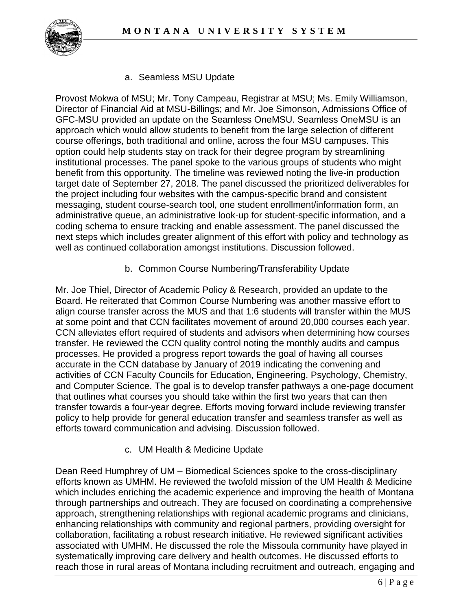

a. Seamless MSU Update

 Director of Financial Aid at MSU-Billings; and Mr. Joe Simonson, Admissions Office of messaging, student course-search tool, one student enrollment/information form, an coding schema to ensure tracking and enable assessment. The panel discussed the Provost Mokwa of MSU; Mr. Tony Campeau, Registrar at MSU; Ms. Emily Williamson, GFC-MSU provided an update on the Seamless OneMSU. Seamless OneMSU is an approach which would allow students to benefit from the large selection of different course offerings, both traditional and online, across the four MSU campuses. This option could help students stay on track for their degree program by streamlining institutional processes. The panel spoke to the various groups of students who might benefit from this opportunity. The timeline was reviewed noting the live-in production target date of September 27, 2018. The panel discussed the prioritized deliverables for the project including four websites with the campus-specific brand and consistent administrative queue, an administrative look-up for student-specific information, and a next steps which includes greater alignment of this effort with policy and technology as well as continued collaboration amongst institutions. Discussion followed.

b. Common Course Numbering/Transferability Update

 Mr. Joe Thiel, Director of Academic Policy & Research, provided an update to the that outlines what courses you should take within the first two years that can then efforts toward communication and advising. Discussion followed. Board. He reiterated that Common Course Numbering was another massive effort to align course transfer across the MUS and that 1:6 students will transfer within the MUS at some point and that CCN facilitates movement of around 20,000 courses each year. CCN alleviates effort required of students and advisors when determining how courses transfer. He reviewed the CCN quality control noting the monthly audits and campus processes. He provided a progress report towards the goal of having all courses accurate in the CCN database by January of 2019 indicating the convening and activities of CCN Faculty Councils for Education, Engineering, Psychology, Chemistry, and Computer Science. The goal is to develop transfer pathways a one-page document transfer towards a four-year degree. Efforts moving forward include reviewing transfer policy to help provide for general education transfer and seamless transfer as well as

c. UM Health & Medicine Update

 Dean Reed Humphrey of UM – Biomedical Sciences spoke to the cross-disciplinary systematically improving care delivery and health outcomes. He discussed efforts to efforts known as UMHM. He reviewed the twofold mission of the UM Health & Medicine which includes enriching the academic experience and improving the health of Montana through partnerships and outreach. They are focused on coordinating a comprehensive approach, strengthening relationships with regional academic programs and clinicians, enhancing relationships with community and regional partners, providing oversight for collaboration, facilitating a robust research initiative. He reviewed significant activities associated with UMHM. He discussed the role the Missoula community have played in reach those in rural areas of Montana including recruitment and outreach, engaging and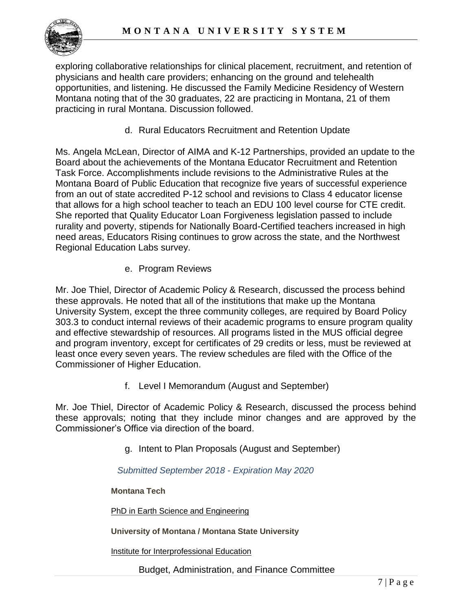exploring collaborative relationships for clinical placement, recruitment, and retention of physicians and health care providers; enhancing on the ground and telehealth Montana noting that of the 30 graduates, 22 are practicing in Montana, 21 of them opportunities, and listening. He discussed the Family Medicine Residency of Western practicing in rural Montana. Discussion followed.

d. Rural Educators Recruitment and Retention Update

 Ms. Angela McLean, Director of AIMA and K-12 Partnerships, provided an update to the Task Force. Accomplishments include revisions to the Administrative Rules at the from an out of state accredited P-12 school and revisions to Class 4 educator license rurality and poverty, stipends for Nationally Board-Certified teachers increased in high Board about the achievements of the Montana Educator Recruitment and Retention Montana Board of Public Education that recognize five years of successful experience that allows for a high school teacher to teach an EDU 100 level course for CTE credit. She reported that Quality Educator Loan Forgiveness legislation passed to include need areas, Educators Rising continues to grow across the state, and the Northwest Regional Education Labs survey.

e. Program Reviews

 least once every seven years. The review schedules are filed with the Office of the Mr. Joe Thiel, Director of Academic Policy & Research, discussed the process behind these approvals. He noted that all of the institutions that make up the Montana University System, except the three community colleges, are required by Board Policy 303.3 to conduct internal reviews of their academic programs to ensure program quality and effective stewardship of resources. All programs listed in the MUS official degree and program inventory, except for certificates of 29 credits or less, must be reviewed at Commissioner of Higher Education.

f. Level I Memorandum (August and September)

 Mr. Joe Thiel, Director of Academic Policy & Research, discussed the process behind these approvals; noting that they include minor changes and are approved by the Commissioner's Office via direction of the board.

g. Intent to Plan Proposals (August and September)

*Submitted September 2018* - *Expiration May 2020* 

**Montana Tech** 

PhD in Earth Science and Engineering

 **University of Montana / Montana State University** 

Institute for Interprofessional Education

Budget, Administration, and Finance Committee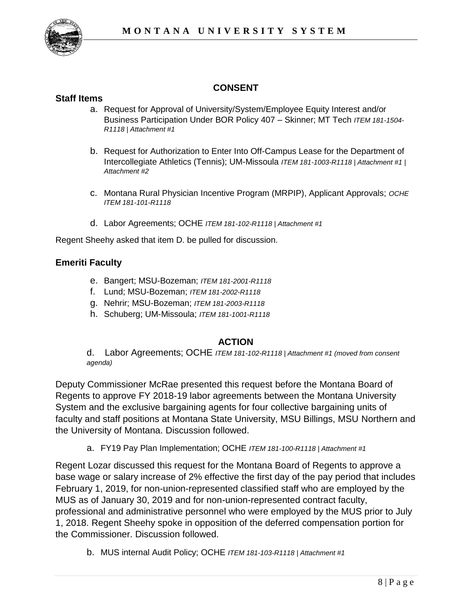

## **CONSENT**

### **Staff Items**

- a. Request for Approval of University/System/Employee Equity Interest and/or Business Participation Under BOR Policy 407 – Skinner; MT Tech *ITEM 181-1504- R1118 | Attachment #1*
- b. Request for Authorization to Enter Into Off-Campus Lease for the Department of Intercollegiate Athletics (Tennis); UM-Missoula *ITEM 181-1003-R1118 | Attachment #1 | Attachment #2*
- c. Montana Rural Physician Incentive Program (MRPIP), Applicant Approvals; *OCHE ITEM 181-101-R1118*
- d. Labor Agreements; OCHE *ITEM 181-102-R1118 | Attachment #1*

Regent Sheehy asked that item D. be pulled for discussion.

#### **Emeriti Faculty**

- e. Bangert; MSU-Bozeman; *ITEM 181-2001-R1118*
- f. Lund; MSU-Bozeman; *ITEM 181-2002-R1118*
- g. Nehrir; MSU-Bozeman; *ITEM 181-2003-R1118*
- h. Schuberg; UM-Missoula; *ITEM 181-1001-R1118*

### **ACTION**

d. d. Labor Agreements; OCHE *ITEM 181-102-R1118 | Attachment #1 (moved from consent agenda)* 

Deputy Commissioner McRae presented this request before the Montana Board of Regents to approve FY 2018-19 labor agreements between the Montana University System and the exclusive bargaining agents for four collective bargaining units of faculty and staff positions at Montana State University, MSU Billings, MSU Northern and the University of Montana. Discussion followed.

a. FY19 Pay Plan Implementation; OCHE *ITEM 181-100-R1118 | Attachment #1* 

 1, 2018. Regent Sheehy spoke in opposition of the deferred compensation portion for Regent Lozar discussed this request for the Montana Board of Regents to approve a base wage or salary increase of 2% effective the first day of the pay period that includes February 1, 2019, for non-union-represented classified staff who are employed by the MUS as of January 30, 2019 and for non-union-represented contract faculty, professional and administrative personnel who were employed by the MUS prior to July the Commissioner. Discussion followed.

b. MUS internal Audit Policy; OCHE *ITEM 181-103-R1118 | Attachment #1*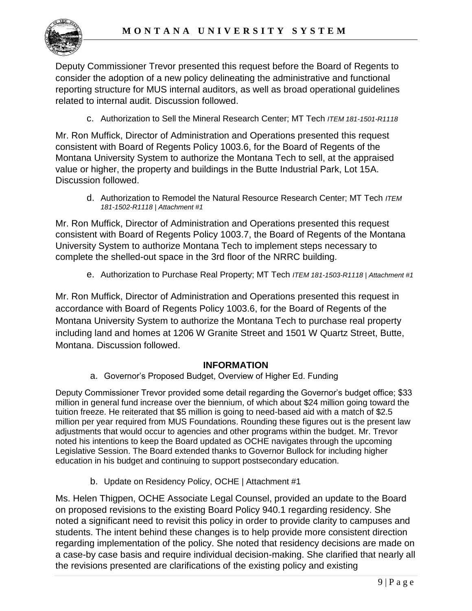

 consider the adoption of a new policy delineating the administrative and functional Deputy Commissioner Trevor presented this request before the Board of Regents to reporting structure for MUS internal auditors, as well as broad operational guidelines related to internal audit. Discussion followed.

c. Authorization to Sell the Mineral Research Center; MT Tech *ITEM 181-1501-R1118* 

 Montana University System to authorize the Montana Tech to sell, at the appraised Mr. Ron Muffick, Director of Administration and Operations presented this request consistent with Board of Regents Policy 1003.6, for the Board of Regents of the value or higher, the property and buildings in the Butte Industrial Park, Lot 15A. Discussion followed.

 d. Authorization to Remodel the Natural Resource Research Center; MT Tech *ITEM 181-1502-R1118 | Attachment #1* 

Mr. Ron Muffick, Director of Administration and Operations presented this request consistent with Board of Regents Policy 1003.7, the Board of Regents of the Montana University System to authorize Montana Tech to implement steps necessary to complete the shelled-out space in the 3rd floor of the NRRC building.

e. Authorization to Purchase Real Property; MT Tech *ITEM 181-1503-R1118 | Attachment #1* 

 Montana University System to authorize the Montana Tech to purchase real property including land and homes at 1206 W Granite Street and 1501 W Quartz Street, Butte, Mr. Ron Muffick, Director of Administration and Operations presented this request in accordance with Board of Regents Policy 1003.6, for the Board of Regents of the Montana. Discussion followed.

### **INFORMATION**

a. Governor's Proposed Budget, Overview of Higher Ed. Funding

 Deputy Commissioner Trevor provided some detail regarding the Governor's budget office; \$33 million in general fund increase over the biennium, of which about \$24 million going toward the tuition freeze. He reiterated that \$5 million is going to need-based aid with a match of \$2.5 million per year required from MUS Foundations. Rounding these figures out is the present law adjustments that would occur to agencies and other programs within the budget. Mr. Trevor noted his intentions to keep the Board updated as OCHE navigates through the upcoming Legislative Session. The Board extended thanks to Governor Bullock for including higher education in his budget and continuing to support postsecondary education.

b. Update on Residency Policy, OCHE | Attachment #1

 Ms. Helen Thigpen, OCHE Associate Legal Counsel, provided an update to the Board regarding implementation of the policy. She noted that residency decisions are made on the revisions presented are clarifications of the existing policy and existing on proposed revisions to the existing Board Policy 940.1 regarding residency. She noted a significant need to revisit this policy in order to provide clarity to campuses and students. The intent behind these changes is to help provide more consistent direction a case-by case basis and require individual decision-making. She clarified that nearly all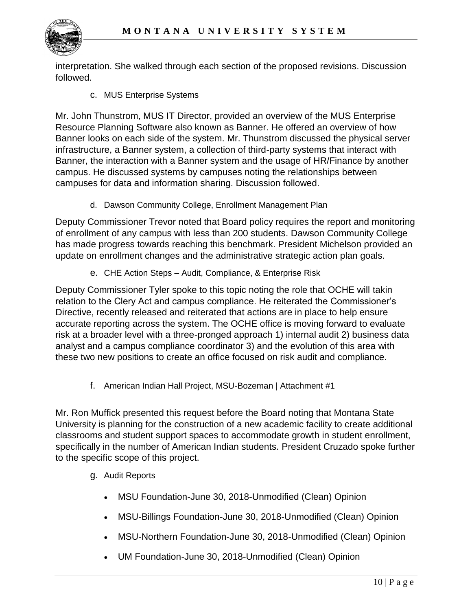

interpretation. She walked through each section of the proposed revisions. Discussion followed.

c. MUS Enterprise Systems

 Mr. John Thunstrom, MUS IT Director, provided an overview of the MUS Enterprise Banner looks on each side of the system. Mr. Thunstrom discussed the physical server infrastructure, a Banner system, a collection of third-party systems that interact with Banner, the interaction with a Banner system and the usage of HR/Finance by another Resource Planning Software also known as Banner. He offered an overview of how campus. He discussed systems by campuses noting the relationships between campuses for data and information sharing. Discussion followed.

d. Dawson Community College, Enrollment Management Plan

 update on enrollment changes and the administrative strategic action plan goals. Deputy Commissioner Trevor noted that Board policy requires the report and monitoring of enrollment of any campus with less than 200 students. Dawson Community College has made progress towards reaching this benchmark. President Michelson provided an

e. CHE Action Steps – Audit, Compliance, & Enterprise Risk

 Directive, recently released and reiterated that actions are in place to help ensure these two new positions to create an office focused on risk audit and compliance. Deputy Commissioner Tyler spoke to this topic noting the role that OCHE will takin relation to the Clery Act and campus compliance. He reiterated the Commissioner's accurate reporting across the system. The OCHE office is moving forward to evaluate risk at a broader level with a three-pronged approach 1) internal audit 2) business data analyst and a campus compliance coordinator 3) and the evolution of this area with

f. American Indian Hall Project, MSU-Bozeman | Attachment #1

 Mr. Ron Muffick presented this request before the Board noting that Montana State University is planning for the construction of a new academic facility to create additional specifically in the number of American Indian students. President Cruzado spoke further classrooms and student support spaces to accommodate growth in student enrollment, to the specific scope of this project.

- g. Audit Reports
	- MSU Foundation-June 30, 2018-Unmodified (Clean) Opinion
	- MSU-Billings Foundation-June 30, 2018-Unmodified (Clean) Opinion
	- MSU-Northern Foundation-June 30, 2018-Unmodified (Clean) Opinion
	- UM Foundation-June 30, 2018-Unmodified (Clean) Opinion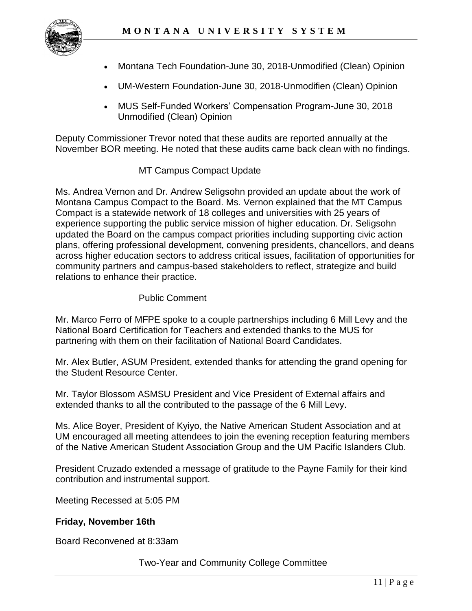

- Montana Tech Foundation-June 30, 2018-Unmodified (Clean) Opinion
- UM-Western Foundation-June 30, 2018-Unmodifien (Clean) Opinion
- MUS Self-Funded Workers' Compensation Program-June 30, 2018 Unmodified (Clean) Opinion

Deputy Commissioner Trevor noted that these audits are reported annually at the November BOR meeting. He noted that these audits came back clean with no findings.

## MT Campus Compact Update

 Ms. Andrea Vernon and Dr. Andrew Seligsohn provided an update about the work of Montana Campus Compact to the Board. Ms. Vernon explained that the MT Campus Compact is a statewide network of 18 colleges and universities with 25 years of experience supporting the public service mission of higher education. Dr. Seligsohn updated the Board on the campus compact priorities including supporting civic action plans, offering professional development, convening presidents, chancellors, and deans across higher education sectors to address critical issues, facilitation of opportunities for community partners and campus-based stakeholders to reflect, strategize and build relations to enhance their practice.

### Public Comment

 National Board Certification for Teachers and extended thanks to the MUS for Mr. Marco Ferro of MFPE spoke to a couple partnerships including 6 Mill Levy and the partnering with them on their facilitation of National Board Candidates.

Mr. Alex Butler, ASUM President, extended thanks for attending the grand opening for the Student Resource Center.

Mr. Taylor Blossom ASMSU President and Vice President of External affairs and extended thanks to all the contributed to the passage of the 6 Mill Levy.

 UM encouraged all meeting attendees to join the evening reception featuring members of the Native American Student Association Group and the UM Pacific Islanders Club. Ms. Alice Boyer, President of Kyiyo, the Native American Student Association and at

President Cruzado extended a message of gratitude to the Payne Family for their kind contribution and instrumental support.

Meeting Recessed at 5:05 PM

### **Friday, November 16th**

Board Reconvened at 8:33am

Two-Year and Community College Committee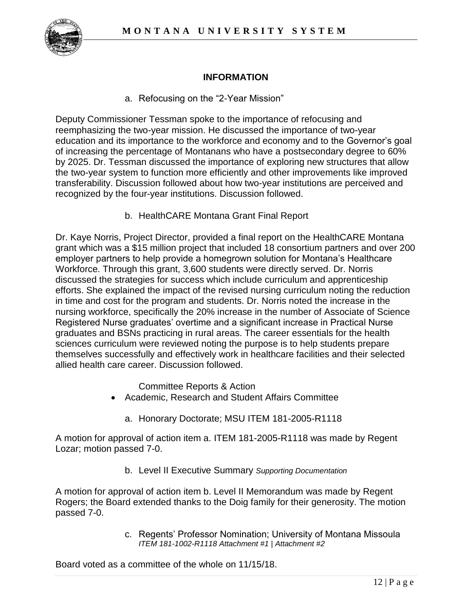

## **INFORMATION**

a. Refocusing on the "2-Year Mission"

 Deputy Commissioner Tessman spoke to the importance of refocusing and reemphasizing the two-year mission. He discussed the importance of two-year education and its importance to the workforce and economy and to the Governor's goal transferability. Discussion followed about how two-year institutions are perceived and of increasing the percentage of Montanans who have a postsecondary degree to 60% by 2025. Dr. Tessman discussed the importance of exploring new structures that allow the two-year system to function more efficiently and other improvements like improved recognized by the four-year institutions. Discussion followed.

b. HealthCARE Montana Grant Final Report

 Dr. Kaye Norris, Project Director, provided a final report on the HealthCARE Montana discussed the strategies for success which include curriculum and apprenticeship nursing workforce, specifically the 20% increase in the number of Associate of Science Registered Nurse graduates' overtime and a significant increase in Practical Nurse grant which was a \$15 million project that included 18 consortium partners and over 200 employer partners to help provide a homegrown solution for Montana's Healthcare Workforce. Through this grant, 3,600 students were directly served. Dr. Norris efforts. She explained the impact of the revised nursing curriculum noting the reduction in time and cost for the program and students. Dr. Norris noted the increase in the graduates and BSNs practicing in rural areas. The career essentials for the health sciences curriculum were reviewed noting the purpose is to help students prepare themselves successfully and effectively work in healthcare facilities and their selected allied health care career. Discussion followed.

Committee Reports & Action

- Academic, Research and Student Affairs Committee
	- a. Honorary Doctorate; MSU ITEM 181-2005-R1118

 Lozar; motion passed 7-0. A motion for approval of action item a. ITEM 181-2005-R1118 was made by Regent

b. Level II Executive Summary *Supporting Documentation* 

 A motion for approval of action item b. Level II Memorandum was made by Regent Rogers; the Board extended thanks to the Doig family for their generosity. The motion passed 7-0.

> c. Regents' Professor Nomination; University of Montana Missoula *ITEM 181-1002-R1118 Attachment #1 | Attachment #2*

Board voted as a committee of the whole on 11/15/18.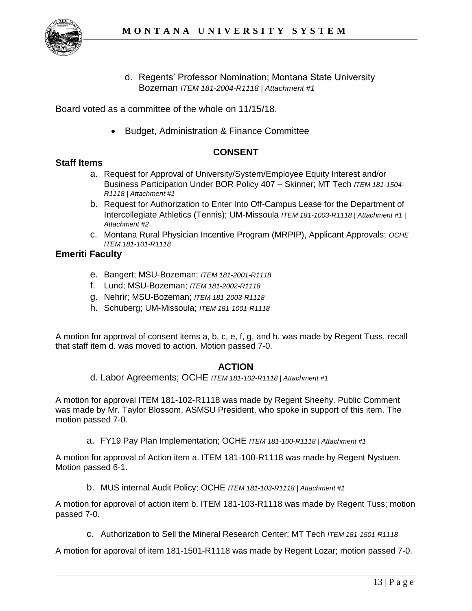

d. Regents' Professor Nomination; Montana State University Bozeman *ITEM 181-2004-R1118 | Attachment #1* 

Board voted as a committee of the whole on 11/15/18.

• Budget, Administration & Finance Committee

#### **CONSENT**

#### **Staff Items**

- a. Request for Approval of University/System/Employee Equity Interest and/or Business Participation Under BOR Policy 407 – Skinner; MT Tech *ITEM 181-1504- R1118 | Attachment #1*
- b. Request for Authorization to Enter Into Off-Campus Lease for the Department of Intercollegiate Athletics (Tennis); UM-Missoula *ITEM 181-1003-R1118 | Attachment #1 | Attachment #2*
- c. Montana Rural Physician Incentive Program (MRPIP), Applicant Approvals; *OCHE ITEM 181-101-R1118*

#### **Emeriti Faculty**

- e. Bangert; MSU-Bozeman; *ITEM 181-2001-R1118*
- f. Lund; MSU-Bozeman; *ITEM 181-2002-R1118*
- g. Nehrir; MSU-Bozeman; *ITEM 181-2003-R1118*
- h. Schuberg; UM-Missoula; *ITEM 181-1001-R1118*

 A motion for approval of consent items a, b, c, e, f, g, and h. was made by Regent Tuss, recall that staff item d. was moved to action. Motion passed 7-0.

#### **ACTION**

d. Labor Agreements; OCHE *ITEM 181-102-R1118 | Attachment #1* 

 A motion for approval ITEM 181-102-R1118 was made by Regent Sheehy. Public Comment was made by Mr. Taylor Blossom, ASMSU President, who spoke in support of this item. The motion passed 7-0.

a. FY19 Pay Plan Implementation; OCHE *ITEM 181-100-R1118 | Attachment #1* 

 A motion for approval of Action item a. ITEM 181-100-R1118 was made by Regent Nystuen. Motion passed 6-1.

b. MUS internal Audit Policy; OCHE *ITEM 181-103-R1118 | Attachment #1* 

 A motion for approval of action item b. ITEM 181-103-R1118 was made by Regent Tuss; motion passed 7-0.

c. Authorization to Sell the Mineral Research Center; MT Tech *ITEM 181-1501-R1118* 

A motion for approval of item 181-1501-R1118 was made by Regent Lozar; motion passed 7-0.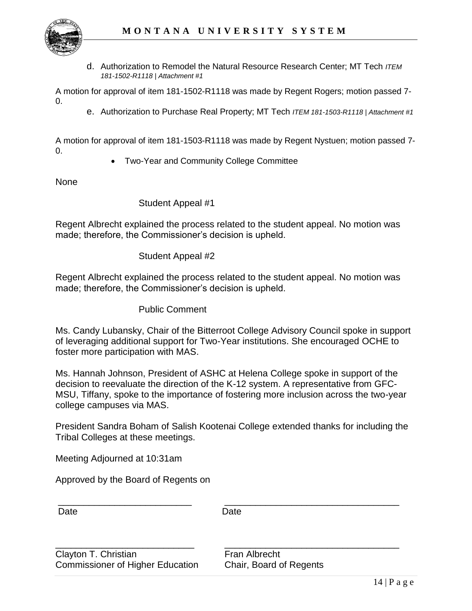

 d. Authorization to Remodel the Natural Resource Research Center; MT Tech *ITEM 181-1502-R1118 | Attachment #1* 

 A motion for approval of item 181-1502-R1118 was made by Regent Rogers; motion passed 7- 0.

e. Authorization to Purchase Real Property; MT Tech *ITEM 181-1503-R1118 | Attachment #1* 

 A motion for approval of item 181-1503-R1118 was made by Regent Nystuen; motion passed 7-  $\Omega$ 

• Two-Year and Community College Committee

None

#### Student Appeal #1

Regent Albrecht explained the process related to the student appeal. No motion was made; therefore, the Commissioner's decision is upheld.

#### Student Appeal #2

Regent Albrecht explained the process related to the student appeal. No motion was made; therefore, the Commissioner's decision is upheld.

Public Comment

Ms. Candy Lubansky, Chair of the Bitterroot College Advisory Council spoke in support of leveraging additional support for Two-Year institutions. She encouraged OCHE to foster more participation with MAS.

 decision to reevaluate the direction of the K-12 system. A representative from GFC- MSU, Tiffany, spoke to the importance of fostering more inclusion across the two-year Ms. Hannah Johnson, President of ASHC at Helena College spoke in support of the college campuses via MAS.

President Sandra Boham of Salish Kootenai College extended thanks for including the Tribal Colleges at these meetings.

Meeting Adjourned at 10:31am

Approved by the Board of Regents on

| Date                                                            | Date                                     |  |
|-----------------------------------------------------------------|------------------------------------------|--|
| Clayton T. Christian<br><b>Commissioner of Higher Education</b> | Fran Albrecht<br>Chair, Board of Regents |  |